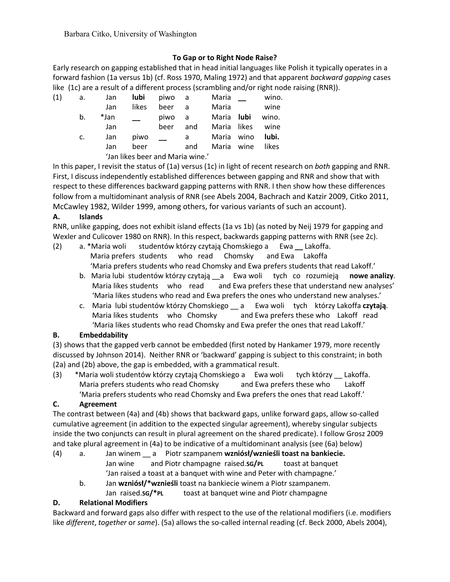Barbara Citko, University of Washington

# **To Gap or to Right Node Raise?**

Early research on gapping established that in head initial languages like Polish it typically operates in a forward fashion (1a versus 1b) (cf. Ross 1970, Maling 1972) and that apparent *backward gapping* cases like (1c) are a result of a different process (scrambling and/or right node raising (RNR)).

| (1) | а. | Jan  | lubi                             | piwo | - a | Maria       |      | wino. |
|-----|----|------|----------------------------------|------|-----|-------------|------|-------|
|     |    | Jan  | likes                            | beer | - a | Maria       |      | wine  |
|     | b. | *Jan |                                  | piwo | a   | Maria       | lubi | wino. |
|     |    | Jan  |                                  | beer | and | Maria likes |      | wine  |
|     | C. | Jan  | piwo                             |      | a   | Maria       | wino | lubi. |
|     |    | Jan  | beer                             |      | and | Maria wine  |      | likes |
|     |    |      | 'Jan likes beer and Maria wine.' |      |     |             |      |       |

In this paper, I revisit the status of (1a) versus (1c) in light of recent research on *both* gapping and RNR. First, I discuss independently established differences between gapping and RNR and show that with respect to these differences backward gapping patterns with RNR. I then show how these differences follow from a multidominant analysis of RNR (see Abels 2004, Bachrach and Katzir 2009, Citko 2011, McCawley 1982, Wilder 1999, among others, for various variants of such an account).

### **A. Islands**

RNR, unlike gapping, does not exhibit island effects (1a vs 1b) (as noted by Neij 1979 for gapping and Wexler and Culicover 1980 on RNR). In this respect, backwards gapping patterns with RNR (see 2c).

- (2) a. \*Maria woli studentów którzy czytają Chomskiego a Ewa **\_\_** Lakoffa. Maria prefers students who read Chomsky and Ewa Lakoffa 'Maria prefers students who read Chomsky and Ewa prefers students that read Lakoff.'
	- b. Maria lubi studentów którzy czytają \_\_a Ewa woli tych co rozumieją **nowe analizy***.*  Maria likes students who read and Ewa prefers these that understand new analyses' 'Maria likes studens who read and Ewa prefers the ones who understand new analyses.'
	- c. Maria lubi studentów którzy Chomskiego \_\_ a Ewa woli tych którzy Lakoffa **czytają**. Maria likes students who Chomsky and Ewa prefers these who Lakoff read 'Maria likes students who read Chomsky and Ewa prefer the ones that read Lakoff.'

# **B. Embeddability**

(3) shows that the gapped verb cannot be embedded (first noted by Hankamer 1979, more recently discussed by Johnson 2014). Neither RNR or 'backward' gapping is subject to this constraint; in both (2a) and (2b) above, the gap is embedded, with a grammatical result.

(3) \*Maria woli studentów którzy czytają Chomskiego a Ewa woli tych którzy Lakoffa. Maria prefers students who read Chomsky and Ewa prefers these who Lakoff 'Maria prefers students who read Chomsky and Ewa prefers the ones that read Lakoff.'

# **C. Agreement**

The contrast between (4a) and (4b) shows that backward gaps, unlike forward gaps, allow so-called cumulative agreement (in addition to the expected singular agreement), whereby singular subjects inside the two conjuncts can result in plural agreement on the shared predicate). I follow Grosz 2009 and take plural agreement in (4a) to be indicative of a multidominant analysis (see (6a) below)

- (4) a. Jan winem \_\_ a Piotr szampanem **wzniósł/wznieśli toast na bankiecie.** Jan wine and Piotr champagne raised.**SG/PL** toast at banquet 'Jan raised a toast at a banquet with wine and Peter with champagne.'
	- b. Jan **wzniósł/\*wznieśli** toast na bankiecie winem a Piotr szampanem.
		- Jan raised.**SG/\*PL** toast at banquet wine and Piotr champagne

# **D. Relational Modifiers**

Backward and forward gaps also differ with respect to the use of the relational modifiers (i.e. modifiers like *different*, *together* or *same*). (5a) allows the so-called internal reading (cf. Beck 2000, Abels 2004),